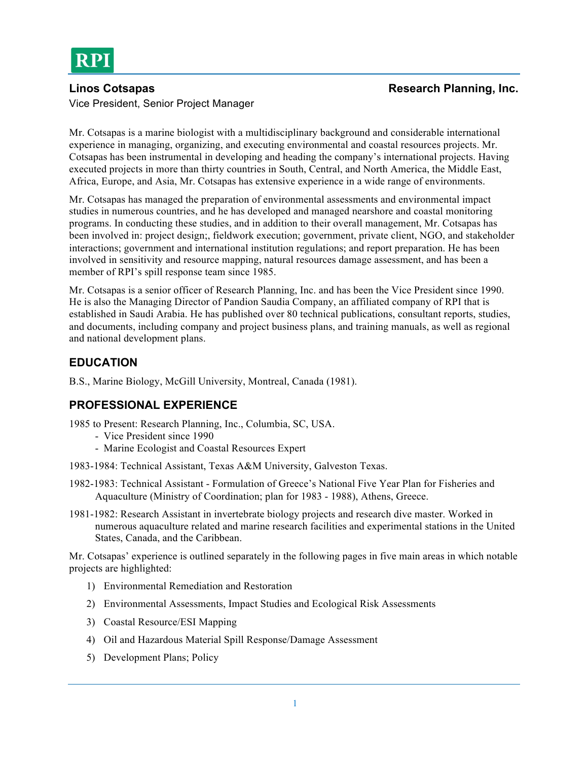Vice President, Senior Project Manager

Mr. Cotsapas is a marine biologist with a multidisciplinary background and considerable international experience in managing, organizing, and executing environmental and coastal resources projects. Mr. Cotsapas has been instrumental in developing and heading the company's international projects. Having executed projects in more than thirty countries in South, Central, and North America, the Middle East, Africa, Europe, and Asia, Mr. Cotsapas has extensive experience in a wide range of environments.

Mr. Cotsapas has managed the preparation of environmental assessments and environmental impact studies in numerous countries, and he has developed and managed nearshore and coastal monitoring programs. In conducting these studies, and in addition to their overall management, Mr. Cotsapas has been involved in: project design;, fieldwork execution; government, private client, NGO, and stakeholder interactions; government and international institution regulations; and report preparation. He has been involved in sensitivity and resource mapping, natural resources damage assessment, and has been a member of RPI's spill response team since 1985.

Mr. Cotsapas is a senior officer of Research Planning, Inc. and has been the Vice President since 1990. He is also the Managing Director of Pandion Saudia Company, an affiliated company of RPI that is established in Saudi Arabia. He has published over 80 technical publications, consultant reports, studies, and documents, including company and project business plans, and training manuals, as well as regional and national development plans.

# **EDUCATION**

B.S., Marine Biology, McGill University, Montreal, Canada (1981).

# **PROFESSIONAL EXPERIENCE**

1985 to Present: Research Planning, Inc., Columbia, SC, USA.

- Vice President since 1990
- Marine Ecologist and Coastal Resources Expert
- 1983-1984: Technical Assistant, Texas A&M University, Galveston Texas.
- 1982-1983: Technical Assistant Formulation of Greece's National Five Year Plan for Fisheries and Aquaculture (Ministry of Coordination; plan for 1983 - 1988), Athens, Greece.
- 1981-1982: Research Assistant in invertebrate biology projects and research dive master. Worked in numerous aquaculture related and marine research facilities and experimental stations in the United States, Canada, and the Caribbean.

Mr. Cotsapas' experience is outlined separately in the following pages in five main areas in which notable projects are highlighted:

- 1) Environmental Remediation and Restoration
- 2) Environmental Assessments, Impact Studies and Ecological Risk Assessments
- 3) Coastal Resource/ESI Mapping
- 4) Oil and Hazardous Material Spill Response/Damage Assessment
- 5) Development Plans; Policy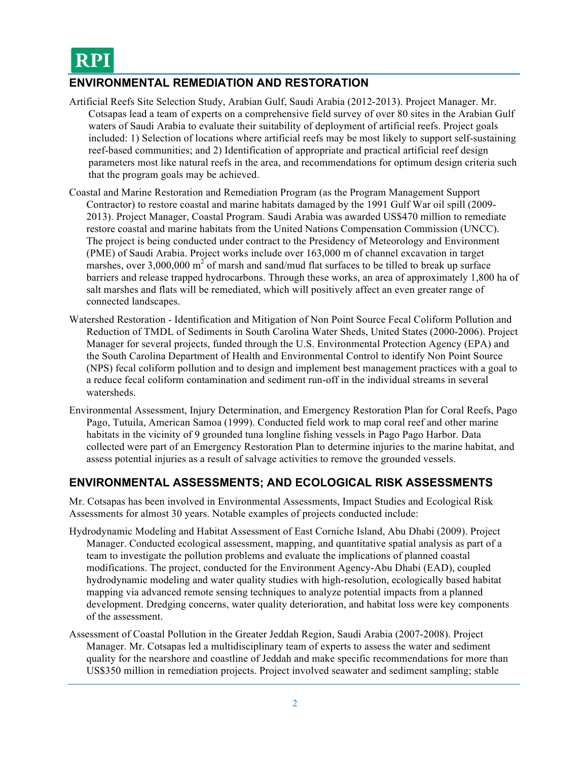

### **ENVIRONMENTAL REMEDIATION AND RESTORATION**

- Artificial Reefs Site Selection Study, Arabian Gulf, Saudi Arabia (2012-2013). Project Manager. Mr. Cotsapas lead a team of experts on a comprehensive field survey of over 80 sites in the Arabian Gulf waters of Saudi Arabia to evaluate their suitability of deployment of artificial reefs. Project goals included: 1) Selection of locations where artificial reefs may be most likely to support self-sustaining reef-based communities; and 2) Identification of appropriate and practical artificial reef design parameters most like natural reefs in the area, and recommendations for optimum design criteria such that the program goals may be achieved.
- Coastal and Marine Restoration and Remediation Program (as the Program Management Support Contractor) to restore coastal and marine habitats damaged by the 1991 Gulf War oil spill (2009- 2013). Project Manager, Coastal Program. Saudi Arabia was awarded US\$470 million to remediate restore coastal and marine habitats from the United Nations Compensation Commission (UNCC). The project is being conducted under contract to the Presidency of Meteorology and Environment (PME) of Saudi Arabia. Project works include over 163,000 m of channel excavation in target marshes, over  $3,000,000$  m<sup>2</sup> of marsh and sand/mud flat surfaces to be tilled to break up surface barriers and release trapped hydrocarbons. Through these works, an area of approximately 1,800 ha of salt marshes and flats will be remediated, which will positively affect an even greater range of connected landscapes.
- Watershed Restoration Identification and Mitigation of Non Point Source Fecal Coliform Pollution and Reduction of TMDL of Sediments in South Carolina Water Sheds, United States (2000-2006). Project Manager for several projects, funded through the U.S. Environmental Protection Agency (EPA) and the South Carolina Department of Health and Environmental Control to identify Non Point Source (NPS) fecal coliform pollution and to design and implement best management practices with a goal to a reduce fecal coliform contamination and sediment run-off in the individual streams in several watersheds.
- Environmental Assessment, Injury Determination, and Emergency Restoration Plan for Coral Reefs, Pago Pago, Tutuila, American Samoa (1999). Conducted field work to map coral reef and other marine habitats in the vicinity of 9 grounded tuna longline fishing vessels in Pago Pago Harbor. Data collected were part of an Emergency Restoration Plan to determine injuries to the marine habitat, and assess potential injuries as a result of salvage activities to remove the grounded vessels.

### **ENVIRONMENTAL ASSESSMENTS; AND ECOLOGICAL RISK ASSESSMENTS**

Mr. Cotsapas has been involved in Environmental Assessments, Impact Studies and Ecological Risk Assessments for almost 30 years. Notable examples of projects conducted include:

- Hydrodynamic Modeling and Habitat Assessment of East Corniche Island, Abu Dhabi (2009). Project Manager. Conducted ecological assessment, mapping, and quantitative spatial analysis as part of a team to investigate the pollution problems and evaluate the implications of planned coastal modifications. The project, conducted for the Environment Agency-Abu Dhabi (EAD), coupled hydrodynamic modeling and water quality studies with high-resolution, ecologically based habitat mapping via advanced remote sensing techniques to analyze potential impacts from a planned development. Dredging concerns, water quality deterioration, and habitat loss were key components of the assessment.
- Assessment of Coastal Pollution in the Greater Jeddah Region, Saudi Arabia (2007-2008). Project Manager. Mr. Cotsapas led a multidisciplinary team of experts to assess the water and sediment quality for the nearshore and coastline of Jeddah and make specific recommendations for more than US\$350 million in remediation projects. Project involved seawater and sediment sampling; stable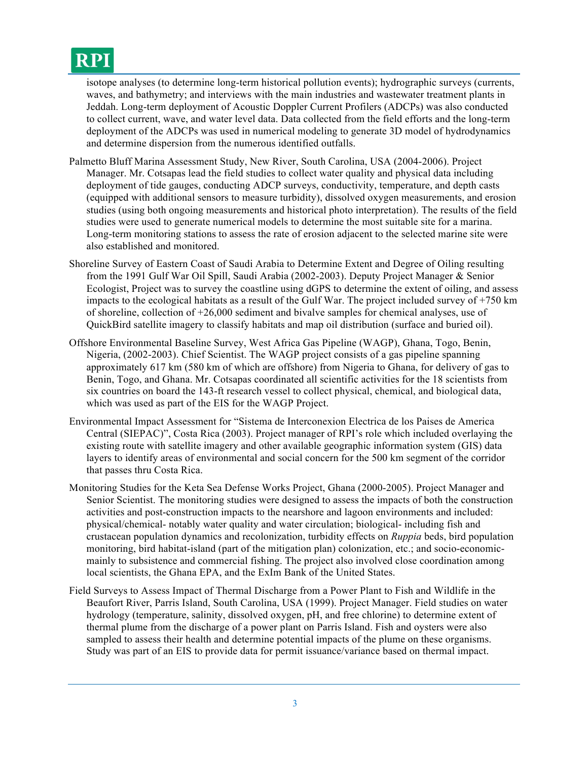# **RPI**

isotope analyses (to determine long-term historical pollution events); hydrographic surveys (currents, waves, and bathymetry; and interviews with the main industries and wastewater treatment plants in Jeddah. Long-term deployment of Acoustic Doppler Current Profilers (ADCPs) was also conducted to collect current, wave, and water level data. Data collected from the field efforts and the long-term deployment of the ADCPs was used in numerical modeling to generate 3D model of hydrodynamics and determine dispersion from the numerous identified outfalls.

- Palmetto Bluff Marina Assessment Study, New River, South Carolina, USA (2004-2006). Project Manager. Mr. Cotsapas lead the field studies to collect water quality and physical data including deployment of tide gauges, conducting ADCP surveys, conductivity, temperature, and depth casts (equipped with additional sensors to measure turbidity), dissolved oxygen measurements, and erosion studies (using both ongoing measurements and historical photo interpretation). The results of the field studies were used to generate numerical models to determine the most suitable site for a marina. Long-term monitoring stations to assess the rate of erosion adjacent to the selected marine site were also established and monitored.
- Shoreline Survey of Eastern Coast of Saudi Arabia to Determine Extent and Degree of Oiling resulting from the 1991 Gulf War Oil Spill, Saudi Arabia (2002-2003). Deputy Project Manager & Senior Ecologist, Project was to survey the coastline using dGPS to determine the extent of oiling, and assess impacts to the ecological habitats as a result of the Gulf War. The project included survey of +750 km of shoreline, collection of +26,000 sediment and bivalve samples for chemical analyses, use of QuickBird satellite imagery to classify habitats and map oil distribution (surface and buried oil).
- Offshore Environmental Baseline Survey, West Africa Gas Pipeline (WAGP), Ghana, Togo, Benin, Nigeria, (2002-2003). Chief Scientist. The WAGP project consists of a gas pipeline spanning approximately 617 km (580 km of which are offshore) from Nigeria to Ghana, for delivery of gas to Benin, Togo, and Ghana. Mr. Cotsapas coordinated all scientific activities for the 18 scientists from six countries on board the 143-ft research vessel to collect physical, chemical, and biological data, which was used as part of the EIS for the WAGP Project.
- Environmental Impact Assessment for "Sistema de Interconexion Electrica de los Paises de America Central (SIEPAC)", Costa Rica (2003). Project manager of RPI's role which included overlaying the existing route with satellite imagery and other available geographic information system (GIS) data layers to identify areas of environmental and social concern for the 500 km segment of the corridor that passes thru Costa Rica.
- Monitoring Studies for the Keta Sea Defense Works Project, Ghana (2000-2005). Project Manager and Senior Scientist. The monitoring studies were designed to assess the impacts of both the construction activities and post-construction impacts to the nearshore and lagoon environments and included: physical/chemical- notably water quality and water circulation; biological- including fish and crustacean population dynamics and recolonization, turbidity effects on *Ruppia* beds, bird population monitoring, bird habitat-island (part of the mitigation plan) colonization, etc.; and socio-economicmainly to subsistence and commercial fishing. The project also involved close coordination among local scientists, the Ghana EPA, and the ExIm Bank of the United States.
- Field Surveys to Assess Impact of Thermal Discharge from a Power Plant to Fish and Wildlife in the Beaufort River, Parris Island, South Carolina, USA (1999). Project Manager. Field studies on water hydrology (temperature, salinity, dissolved oxygen, pH, and free chlorine) to determine extent of thermal plume from the discharge of a power plant on Parris Island. Fish and oysters were also sampled to assess their health and determine potential impacts of the plume on these organisms. Study was part of an EIS to provide data for permit issuance/variance based on thermal impact.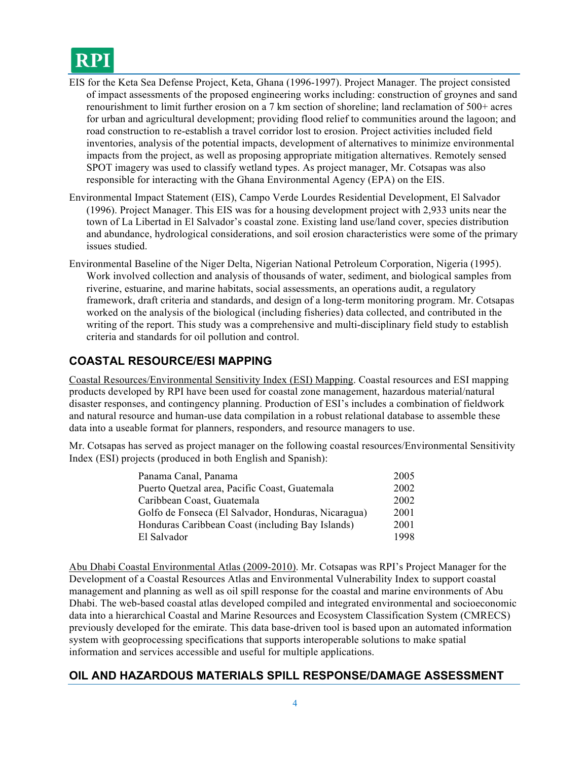# **RPI**

- EIS for the Keta Sea Defense Project, Keta, Ghana (1996-1997). Project Manager. The project consisted of impact assessments of the proposed engineering works including: construction of groynes and sand renourishment to limit further erosion on a 7 km section of shoreline; land reclamation of 500+ acres for urban and agricultural development; providing flood relief to communities around the lagoon; and road construction to re-establish a travel corridor lost to erosion. Project activities included field inventories, analysis of the potential impacts, development of alternatives to minimize environmental impacts from the project, as well as proposing appropriate mitigation alternatives. Remotely sensed SPOT imagery was used to classify wetland types. As project manager, Mr. Cotsapas was also responsible for interacting with the Ghana Environmental Agency (EPA) on the EIS.
- Environmental Impact Statement (EIS), Campo Verde Lourdes Residential Development, El Salvador (1996). Project Manager. This EIS was for a housing development project with 2,933 units near the town of La Libertad in El Salvador's coastal zone. Existing land use/land cover, species distribution and abundance, hydrological considerations, and soil erosion characteristics were some of the primary issues studied.
- Environmental Baseline of the Niger Delta, Nigerian National Petroleum Corporation, Nigeria (1995). Work involved collection and analysis of thousands of water, sediment, and biological samples from riverine, estuarine, and marine habitats, social assessments, an operations audit, a regulatory framework, draft criteria and standards, and design of a long-term monitoring program. Mr. Cotsapas worked on the analysis of the biological (including fisheries) data collected, and contributed in the writing of the report. This study was a comprehensive and multi-disciplinary field study to establish criteria and standards for oil pollution and control.

# **COASTAL RESOURCE/ESI MAPPING**

Coastal Resources/Environmental Sensitivity Index (ESI) Mapping. Coastal resources and ESI mapping products developed by RPI have been used for coastal zone management, hazardous material/natural disaster responses, and contingency planning. Production of ESI's includes a combination of fieldwork and natural resource and human-use data compilation in a robust relational database to assemble these data into a useable format for planners, responders, and resource managers to use.

Mr. Cotsapas has served as project manager on the following coastal resources/Environmental Sensitivity Index (ESI) projects (produced in both English and Spanish):

| Panama Canal, Panama                                | 2005 |
|-----------------------------------------------------|------|
| Puerto Quetzal area, Pacific Coast, Guatemala       | 2002 |
| Caribbean Coast, Guatemala                          | 2002 |
| Golfo de Fonseca (El Salvador, Honduras, Nicaragua) | 2001 |
| Honduras Caribbean Coast (including Bay Islands)    | 2001 |
| El Salvador                                         | 1998 |

Abu Dhabi Coastal Environmental Atlas (2009-2010). Mr. Cotsapas was RPI's Project Manager for the Development of a Coastal Resources Atlas and Environmental Vulnerability Index to support coastal management and planning as well as oil spill response for the coastal and marine environments of Abu Dhabi. The web-based coastal atlas developed compiled and integrated environmental and socioeconomic data into a hierarchical Coastal and Marine Resources and Ecosystem Classification System (CMRECS) previously developed for the emirate. This data base-driven tool is based upon an automated information system with geoprocessing specifications that supports interoperable solutions to make spatial information and services accessible and useful for multiple applications.

### **OIL AND HAZARDOUS MATERIALS SPILL RESPONSE/DAMAGE ASSESSMENT**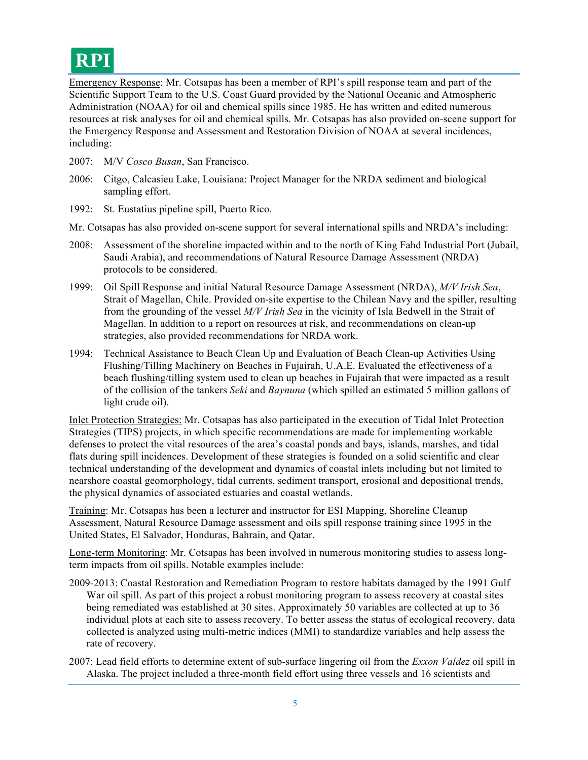Emergency Response: Mr. Cotsapas has been a member of RPI's spill response team and part of the Scientific Support Team to the U.S. Coast Guard provided by the National Oceanic and Atmospheric Administration (NOAA) for oil and chemical spills since 1985. He has written and edited numerous resources at risk analyses for oil and chemical spills. Mr. Cotsapas has also provided on-scene support for the Emergency Response and Assessment and Restoration Division of NOAA at several incidences, including:

- 2007: M/V *Cosco Busan*, San Francisco.
- 2006: Citgo, Calcasieu Lake, Louisiana: Project Manager for the NRDA sediment and biological sampling effort.
- 1992: St. Eustatius pipeline spill, Puerto Rico.
- Mr. Cotsapas has also provided on-scene support for several international spills and NRDA's including:
- 2008: Assessment of the shoreline impacted within and to the north of King Fahd Industrial Port (Jubail, Saudi Arabia), and recommendations of Natural Resource Damage Assessment (NRDA) protocols to be considered.
- 1999: Oil Spill Response and initial Natural Resource Damage Assessment (NRDA), *M/V Irish Sea*, Strait of Magellan, Chile. Provided on-site expertise to the Chilean Navy and the spiller, resulting from the grounding of the vessel *M/V Irish Sea* in the vicinity of Isla Bedwell in the Strait of Magellan. In addition to a report on resources at risk, and recommendations on clean-up strategies, also provided recommendations for NRDA work.
- 1994: Technical Assistance to Beach Clean Up and Evaluation of Beach Clean-up Activities Using Flushing/Tilling Machinery on Beaches in Fujairah, U.A.E. Evaluated the effectiveness of a beach flushing/tilling system used to clean up beaches in Fujairah that were impacted as a result of the collision of the tankers *Seki* and *Baynuna* (which spilled an estimated 5 million gallons of light crude oil).

Inlet Protection Strategies: Mr. Cotsapas has also participated in the execution of Tidal Inlet Protection Strategies (TIPS) projects, in which specific recommendations are made for implementing workable defenses to protect the vital resources of the area's coastal ponds and bays, islands, marshes, and tidal flats during spill incidences. Development of these strategies is founded on a solid scientific and clear technical understanding of the development and dynamics of coastal inlets including but not limited to nearshore coastal geomorphology, tidal currents, sediment transport, erosional and depositional trends, the physical dynamics of associated estuaries and coastal wetlands.

Training: Mr. Cotsapas has been a lecturer and instructor for ESI Mapping, Shoreline Cleanup Assessment, Natural Resource Damage assessment and oils spill response training since 1995 in the United States, El Salvador, Honduras, Bahrain, and Qatar.

Long-term Monitoring: Mr. Cotsapas has been involved in numerous monitoring studies to assess longterm impacts from oil spills. Notable examples include:

- 2009-2013: Coastal Restoration and Remediation Program to restore habitats damaged by the 1991 Gulf War oil spill. As part of this project a robust monitoring program to assess recovery at coastal sites being remediated was established at 30 sites. Approximately 50 variables are collected at up to 36 individual plots at each site to assess recovery. To better assess the status of ecological recovery, data collected is analyzed using multi-metric indices (MMI) to standardize variables and help assess the rate of recovery.
- 2007: Lead field efforts to determine extent of sub-surface lingering oil from the *Exxon Valdez* oil spill in Alaska. The project included a three-month field effort using three vessels and 16 scientists and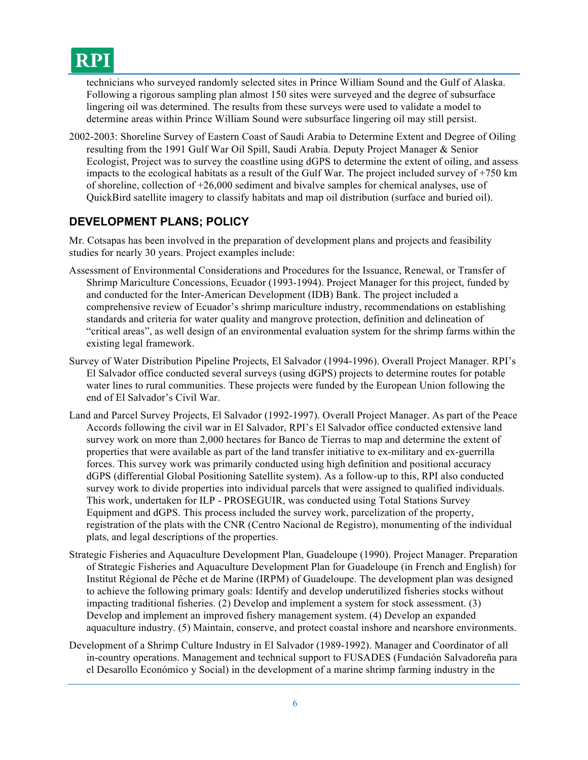

technicians who surveyed randomly selected sites in Prince William Sound and the Gulf of Alaska. Following a rigorous sampling plan almost 150 sites were surveyed and the degree of subsurface lingering oil was determined. The results from these surveys were used to validate a model to determine areas within Prince William Sound were subsurface lingering oil may still persist.

2002-2003: Shoreline Survey of Eastern Coast of Saudi Arabia to Determine Extent and Degree of Oiling resulting from the 1991 Gulf War Oil Spill, Saudi Arabia. Deputy Project Manager & Senior Ecologist, Project was to survey the coastline using dGPS to determine the extent of oiling, and assess impacts to the ecological habitats as a result of the Gulf War. The project included survey of +750 km of shoreline, collection of +26,000 sediment and bivalve samples for chemical analyses, use of QuickBird satellite imagery to classify habitats and map oil distribution (surface and buried oil).

# **DEVELOPMENT PLANS; POLICY**

Mr. Cotsapas has been involved in the preparation of development plans and projects and feasibility studies for nearly 30 years. Project examples include:

- Assessment of Environmental Considerations and Procedures for the Issuance, Renewal, or Transfer of Shrimp Mariculture Concessions, Ecuador (1993-1994). Project Manager for this project, funded by and conducted for the Inter-American Development (IDB) Bank. The project included a comprehensive review of Ecuador's shrimp mariculture industry, recommendations on establishing standards and criteria for water quality and mangrove protection, definition and delineation of "critical areas", as well design of an environmental evaluation system for the shrimp farms within the existing legal framework.
- Survey of Water Distribution Pipeline Projects, El Salvador (1994-1996). Overall Project Manager. RPI's El Salvador office conducted several surveys (using dGPS) projects to determine routes for potable water lines to rural communities. These projects were funded by the European Union following the end of El Salvador's Civil War.
- Land and Parcel Survey Projects, El Salvador (1992-1997). Overall Project Manager. As part of the Peace Accords following the civil war in El Salvador, RPI's El Salvador office conducted extensive land survey work on more than 2,000 hectares for Banco de Tierras to map and determine the extent of properties that were available as part of the land transfer initiative to ex-military and ex-guerrilla forces. This survey work was primarily conducted using high definition and positional accuracy dGPS (differential Global Positioning Satellite system). As a follow-up to this, RPI also conducted survey work to divide properties into individual parcels that were assigned to qualified individuals. This work, undertaken for ILP - PROSEGUIR, was conducted using Total Stations Survey Equipment and dGPS. This process included the survey work, parcelization of the property, registration of the plats with the CNR (Centro Nacional de Registro), monumenting of the individual plats, and legal descriptions of the properties.
- Strategic Fisheries and Aquaculture Development Plan, Guadeloupe (1990). Project Manager. Preparation of Strategic Fisheries and Aquaculture Development Plan for Guadeloupe (in French and English) for Institut Régional de Pêche et de Marine (IRPM) of Guadeloupe. The development plan was designed to achieve the following primary goals: Identify and develop underutilized fisheries stocks without impacting traditional fisheries. (2) Develop and implement a system for stock assessment. (3) Develop and implement an improved fishery management system. (4) Develop an expanded aquaculture industry. (5) Maintain, conserve, and protect coastal inshore and nearshore environments.
- Development of a Shrimp Culture Industry in El Salvador (1989-1992). Manager and Coordinator of all in-country operations. Management and technical support to FUSADES (Fundación Salvadoreña para el Desarollo Económico y Social) in the development of a marine shrimp farming industry in the